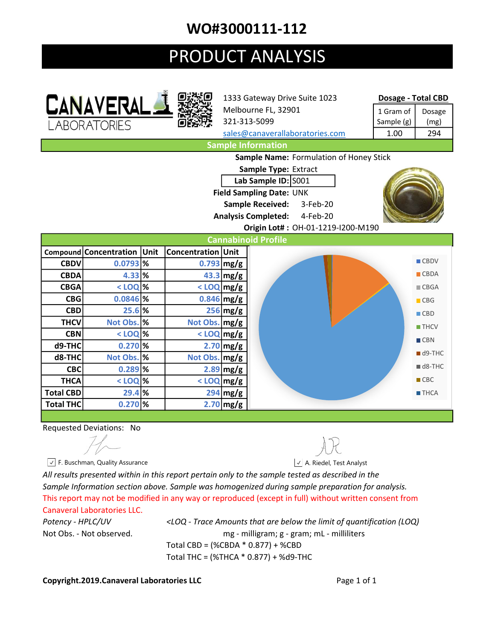## WO#3000111-112

# PRODUCT ANALYSIS





1333 Gateway Drive Suite 1023 Melbourne FL, 32901 321-313-5099

#### Dosage - Total CBD

| 1 Gram of  | Dosage |
|------------|--------|
| Sample (g) | (mg)   |
| 1.00       | 294    |
|            |        |

sales@canaverallaboratories.com Sample Information

Sample Name: Formulation of Honey Stick

Sample Type: Extract Lab Sample ID: S001 Field Sampling Date: UNK Sample Received: 3-Feb-20

Analysis Completed: 4-Feb-20

Origin Lot# : OH-01-1219-I200-M190



### Requested Deviations: No

All results presented within in this report pertain only to the sample tested as described in the Sample Information section above. Sample was homogenized during sample preparation for analysis. This report may not be modified in any way or reproduced (except in full) without written consent from Canaveral Laboratories LLC.

Potency - HPLC/UV <LOQ - Trace Amounts that are below the limit of quantification (LOQ) Not Obs. - Not observed. mg - milligram; g - gram; mL - milliliters Total CBD = (%CBDA \* 0.877) + %CBD Total THC = (%THCA \* 0.877) + %d9-THC

### Copyright.2019.Canaveral Laboratories LLC **Contract Contract Contract Contract Contract Contract Contract Contract Contract Contract Contract Contract Contract Contract Contract Contract Contract Contract Contract Contract**